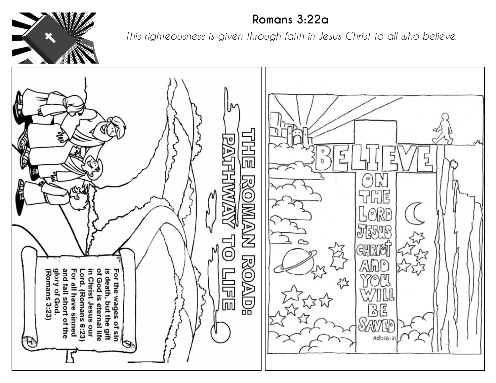

## **Romans 3:22a**

*This righteousness is given through faith in Jesus Christ to all who believe.*